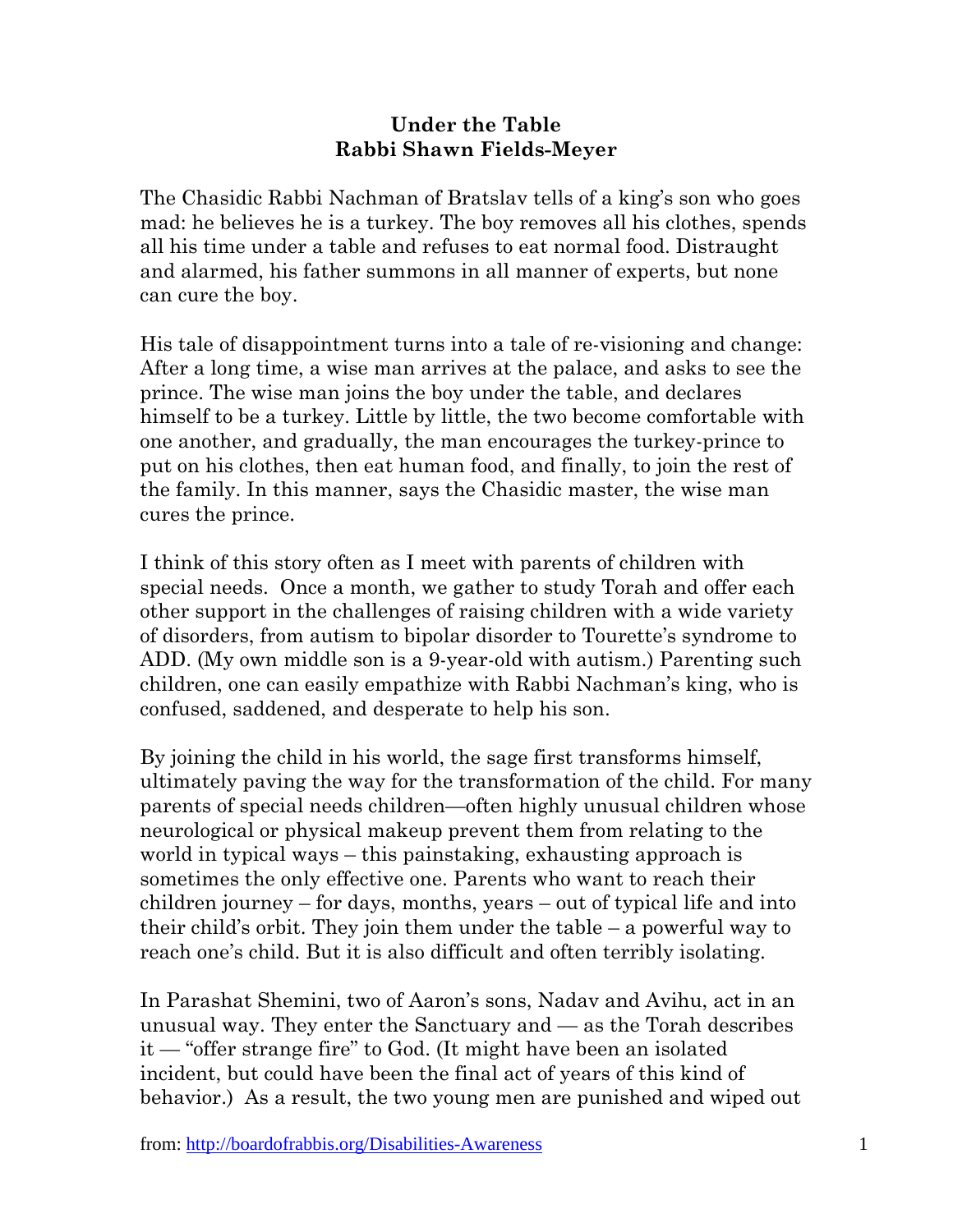## **Under the Table Rabbi Shawn Fields-Meyer**

The Chasidic Rabbi Nachman of Bratslav tells of a king's son who goes mad: he believes he is a turkey. The boy removes all his clothes, spends all his time under a table and refuses to eat normal food. Distraught and alarmed, his father summons in all manner of experts, but none can cure the boy.

His tale of disappointment turns into a tale of re-visioning and change: After a long time, a wise man arrives at the palace, and asks to see the prince. The wise man joins the boy under the table, and declares himself to be a turkey. Little by little, the two become comfortable with one another, and gradually, the man encourages the turkey-prince to put on his clothes, then eat human food, and finally, to join the rest of the family. In this manner, says the Chasidic master, the wise man cures the prince.

I think of this story often as I meet with parents of children with special needs. Once a month, we gather to study Torah and offer each other support in the challenges of raising children with a wide variety of disorders, from autism to bipolar disorder to Tourette's syndrome to ADD. (My own middle son is a 9-year-old with autism.) Parenting such children, one can easily empathize with Rabbi Nachman's king, who is confused, saddened, and desperate to help his son.

By joining the child in his world, the sage first transforms himself, ultimately paving the way for the transformation of the child. For many parents of special needs children—often highly unusual children whose neurological or physical makeup prevent them from relating to the world in typical ways – this painstaking, exhausting approach is sometimes the only effective one. Parents who want to reach their children journey – for days, months, years – out of typical life and into their child's orbit. They join them under the table – a powerful way to reach one's child. But it is also difficult and often terribly isolating.

In Parashat Shemini, two of Aaron's sons, Nadav and Avihu, act in an unusual way. They enter the Sanctuary and — as the Torah describes it — "offer strange fire" to God. (It might have been an isolated incident, but could have been the final act of years of this kind of behavior.) As a result, the two young men are punished and wiped out